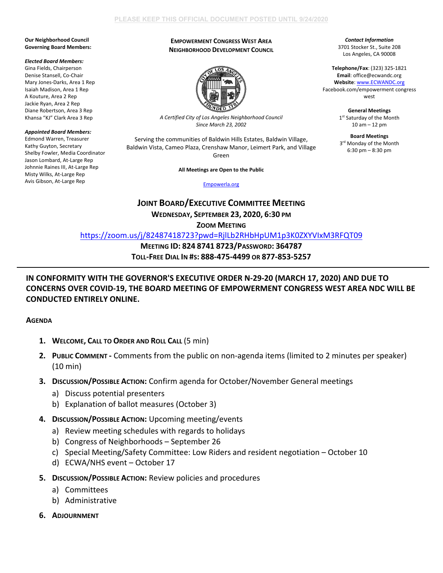### **Our Neighborhood Council Governing Board Members:**

### *Elected Board Members:*

Gina Fields, Chairperson Denise Stansell, Co-Chair Mary Jones-Darks, Area 1 Rep Isaiah Madison, Area 1 Rep A Kouture, Area 2 Rep Jackie Ryan, Area 2 Rep Diane Robertson, Area 3 Rep Khansa "KJ" Clark Area 3 Rep

### *Appointed Board Members:*

Edmond Warren, Treasurer Kathy Guyton, Secretary Shelby Fowler, Media Coordinator Jason Lombard, At-Large Rep Johnnie Raines III, At-Large Rep Misty Wilks, At-Large Rep Avis Gibson, At-Large Rep

## **EMPOWERMENT CONGRESS WEST AREA NEIGHBORHOOD DEVELOPMENT COUNCIL**



*A Certified City of Los Angeles Neighborhood Council Since March 23, 2002*

Serving the communities of Baldwin Hills Estates, Baldwin Village, Baldwin Vista, Cameo Plaza, Crenshaw Manor, Leimert Park, and Village Green

**All Meetings are Open to the Public**

[Empowerla.org](http://www.empowerla.org/)

# **JOINT BOARD/EXECUTIVE COMMITTEE MEETING WEDNESDAY, SEPTEMBER 23, 2020, 6:30 PM**

**ZOOM MEETING**

<https://zoom.us/j/82487418723?pwd=RjlLb2RHbHpUM1p3K0ZXYVIxM3RFQT09>

**MEETING ID: 824 8741 8723/PASSWORD: 364787 TOLL-FREE DIAL IN #S: 888-475-4499 OR 877-853-5257**

## **IN CONFORMITY WITH THE GOVERNOR'S EXECUTIVE ORDER N-29-20 (MARCH 17, 2020) AND DUE TO CONCERNS OVER COVID-19, THE BOARD MEETING OF EMPOWERMENT CONGRESS WEST AREA NDC WILL BE CONDUCTED ENTIRELY ONLINE.**

**AGENDA**

- **1. WELCOME, CALL TO ORDER AND ROLL CALL** (5 min)
- **2. PUBLIC COMMENT -** Comments from the public on non-agenda items (limited to 2 minutes per speaker) (10 min)
- **3. DISCUSSION/POSSIBLE ACTION:** Confirm agenda for October/November General meetings
	- a) Discuss potential presenters
	- b) Explanation of ballot measures (October 3)
- **4. DISCUSSION/POSSIBLE ACTION:** Upcoming meeting/events
	- a) Review meeting schedules with regards to holidays
	- b) Congress of Neighborhoods September 26
	- c) Special Meeting/Safety Committee: Low Riders and resident negotiation October 10
	- d) ECWA/NHS event October 17
- **5. DISCUSSION/POSSIBLE ACTION:** Review policies and procedures
	- a) Committees
	- b) Administrative
- **6. ADJOURNMENT**

*Contact Information* 3701 Stocker St., Suite 208 Los Angeles, CA 90008

**Telephone/Fax**: (323) 325-1821 **Email**: office@ecwandc.org **Website**[: www.ECWANDC.org](http://www.ecwandc.org/) Facebook.com/empowerment congress west

> **General Meetings** 1st Saturday of the Month 10 am – 12 pm

> **Board Meetings** 3<sup>rd</sup> Monday of the Month 6:30 pm – 8:30 pm